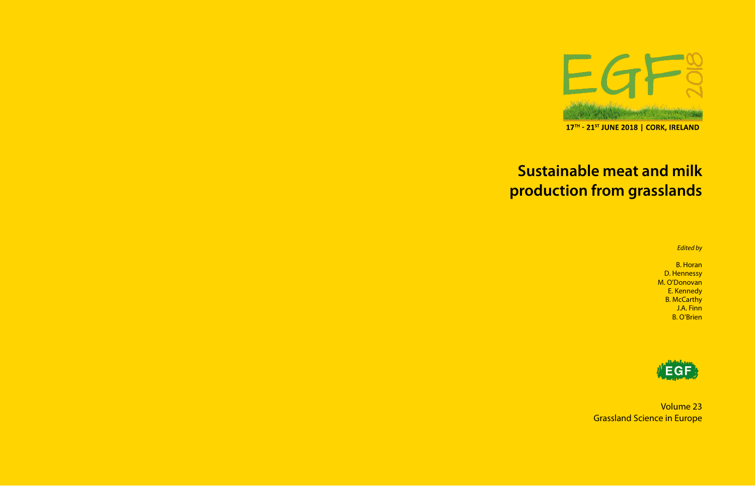

17TH - 21ST JUNE 2018 | CORK, IRELAND

# **Sustainable meat and milk production from grasslands**

*Edited by*

B. Horan D. Hennessy M. O'Donovan E. Kennedy B. McCarthy J.A. Finn B. O'Brien



Volume 23 Grassland Science in Europe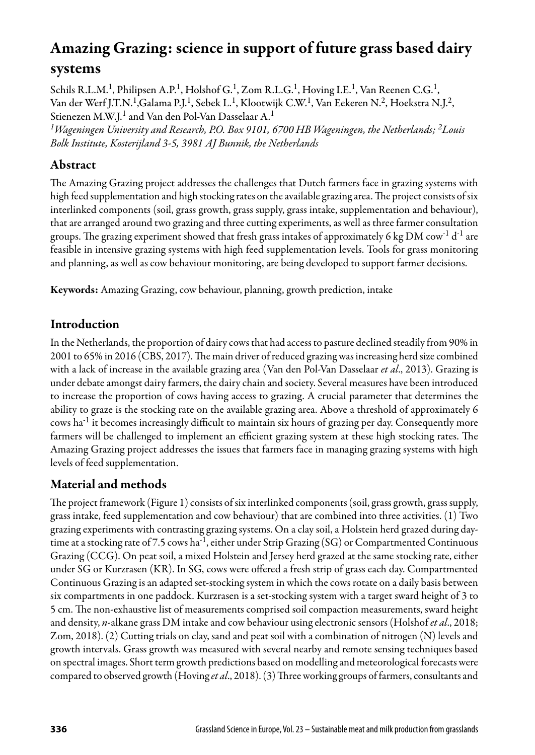# Amazing Grazing: science in support of future grass based dairy systems

Schils R.L.M.<sup>1</sup>, Philipsen A.P.<sup>1</sup>, Holshof G.<sup>1</sup>, Zom R.L.G.<sup>1</sup>, Hoving I.E.<sup>1</sup>, Van Reenen C.G.<sup>1</sup>, Van der Werf J.T.N.1,Galama P.J.1, Sebek L.1, Klootwijk C.W.1, Van Eekeren N.2, Hoekstra N.J.2, Stienezen M.W.J.<sup>1</sup> and Van den Pol-Van Dasselaar A.<sup>1</sup>

*1Wageningen University and Research, P.O. Box 9101, 6700 HB Wageningen, the Netherlands; 2Louis Bolk Institute, Kosterijland 3-5, 3981 AJ Bunnik, the Netherlands*

#### Abstract

The Amazing Grazing project addresses the challenges that Dutch farmers face in grazing systems with high feed supplementation and high stocking rates on the available grazing area. The project consists of six interlinked components (soil, grass growth, grass supply, grass intake, supplementation and behaviour), that are arranged around two grazing and three cutting experiments, as well as three farmer consultation groups. The grazing experiment showed that fresh grass intakes of approximately 6 kg DM cow<sup>-1</sup> d<sup>-1</sup> are feasible in intensive grazing systems with high feed supplementation levels. Tools for grass monitoring and planning, as well as cow behaviour monitoring, are being developed to support farmer decisions.

Keywords: Amazing Grazing, cow behaviour, planning, growth prediction, intake

#### Introduction

In the Netherlands, the proportion of dairy cows that had access to pasture declined steadily from 90% in 2001 to 65% in 2016 (CBS, 2017). The main driver of reduced grazing was increasing herd size combined with a lack of increase in the available grazing area (Van den Pol-Van Dasselaar *et al*., 2013). Grazing is under debate amongst dairy farmers, the dairy chain and society. Several measures have been introduced to increase the proportion of cows having access to grazing. A crucial parameter that determines the ability to graze is the stocking rate on the available grazing area. Above a threshold of approximately 6 cows ha-1 it becomes increasingly difficult to maintain six hours of grazing per day. Consequently more farmers will be challenged to implement an efficient grazing system at these high stocking rates. The Amazing Grazing project addresses the issues that farmers face in managing grazing systems with high levels of feed supplementation.

# Material and methods

The project framework (Figure 1) consists of six interlinked components (soil, grass growth, grass supply, grass intake, feed supplementation and cow behaviour) that are combined into three activities. (1) Two grazing experiments with contrasting grazing systems. On a clay soil, a Holstein herd grazed during daytime at a stocking rate of 7.5 cows ha<sup>-1</sup>, either under Strip Grazing (SG) or Compartmented Continuous Grazing (CCG). On peat soil, a mixed Holstein and Jersey herd grazed at the same stocking rate, either under SG or Kurzrasen (KR). In SG, cows were offered a fresh strip of grass each day. Compartmented Continuous Grazing is an adapted set-stocking system in which the cows rotate on a daily basis between six compartments in one paddock. Kurzrasen is a set-stocking system with a target sward height of 3 to 5 cm. The non-exhaustive list of measurements comprised soil compaction measurements, sward height and density, *n*-alkane grass DM intake and cow behaviour using electronic sensors (Holshof *et al*., 2018; Zom, 2018). (2) Cutting trials on clay, sand and peat soil with a combination of nitrogen (N) levels and growth intervals. Grass growth was measured with several nearby and remote sensing techniques based on spectral images. Short term growth predictions based on modelling and meteorological forecasts were compared to observed growth (Hoving *et al*., 2018). (3) Three working groups of farmers, consultants and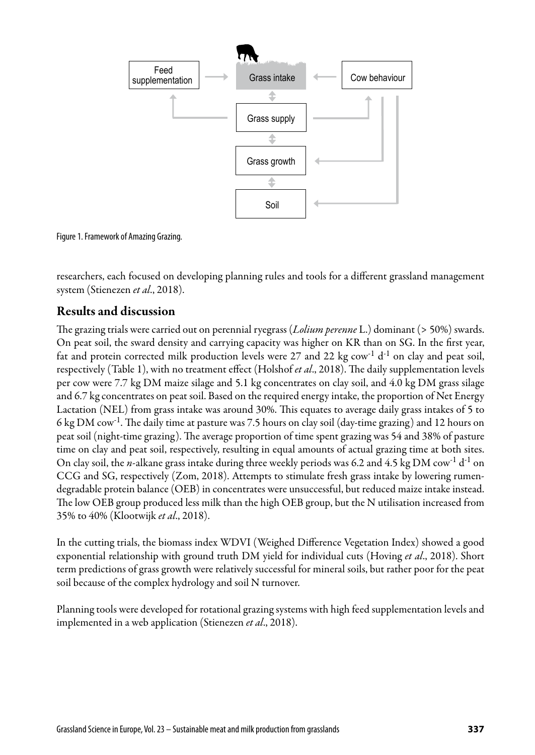

Figure 1. Framework of Amazing Grazing.

researchers, each focused on developing planning rules and tools for a different grassland management system (Stienezen *et al*., 2018).

#### Results and discussion

The grazing trials were carried out on perennial ryegrass (*Lolium perenne* L.) dominant (> 50%) swards. On peat soil, the sward density and carrying capacity was higher on KR than on SG. In the first year, fat and protein corrected milk production levels were 27 and 22 kg  $\text{row}^1$  d<sup>-1</sup> on clay and peat soil, respectively (Table 1), with no treatment effect (Holshof *et al*., 2018). The daily supplementation levels per cow were 7.7 kg DM maize silage and 5.1 kg concentrates on clay soil, and 4.0 kg DM grass silage and 6.7 kg concentrates on peat soil. Based on the required energy intake, the proportion of Net Energy Lactation (NEL) from grass intake was around 30%. This equates to average daily grass intakes of 5 to 6 kg DM cow-1. The daily time at pasture was 7.5 hours on clay soil (day-time grazing) and 12 hours on peat soil (night-time grazing). The average proportion of time spent grazing was 54 and 38% of pasture time on clay and peat soil, respectively, resulting in equal amounts of actual grazing time at both sites. On clay soil, the *n*-alkane grass intake during three weekly periods was 6.2 and 4.5 kg DM cow-1 d-1 on CCG and SG, respectively (Zom, 2018). Attempts to stimulate fresh grass intake by lowering rumendegradable protein balance (OEB) in concentrates were unsuccessful, but reduced maize intake instead. The low OEB group produced less milk than the high OEB group, but the N utilisation increased from 35% to 40% (Klootwijk *et al*., 2018).

In the cutting trials, the biomass index WDVI (Weighed Difference Vegetation Index) showed a good exponential relationship with ground truth DM yield for individual cuts (Hoving *et al*., 2018). Short term predictions of grass growth were relatively successful for mineral soils, but rather poor for the peat soil because of the complex hydrology and soil N turnover.

Planning tools were developed for rotational grazing systems with high feed supplementation levels and implemented in a web application (Stienezen *et al*., 2018).